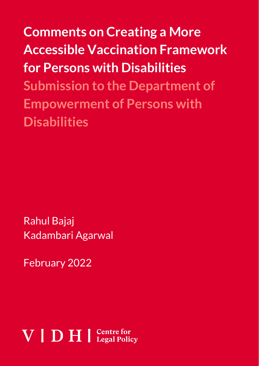**Comments on Creating a More Accessible Vaccination Framework for Persons with Disabilities Submission to the Department of Empowerment of Persons with Disabilities**

Rahul Bajaj Kadambari Agarwal

February 2022

# $V \mid D H \mid$  Centre for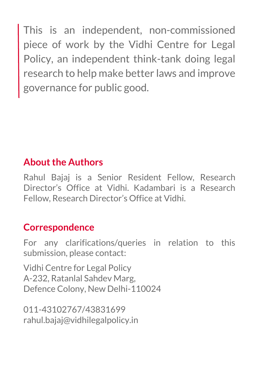This is an independent, non-commissioned piece of work by the Vidhi Centre for Legal Policy, an independent think-tank doing legal research to help make better laws and improve governance for public good.

### **About the Authors**

Rahul Bajaj is a Senior Resident Fellow, Research Director's Office at Vidhi. Kadambari is a Research Fellow, Research Director's Office at Vidhi.

### **Correspondence**

For any clarifications/queries in relation to this submission, please contact:

Vidhi Centre for Legal Policy A-232, Ratanlal Sahdev Marg, Defence Colony, New Delhi-110024

011-43102767/43831699 rahul.bajaj@vidhilegalpolicy.in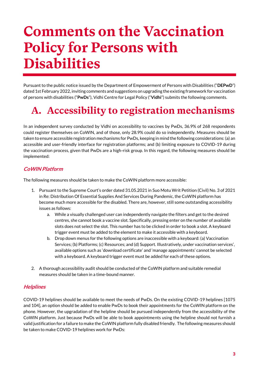## **Comments on the Vaccination Policy for Persons with Disabilities**

Pursuant to the public notice issued by the Department of Empowerment of Persons with Disabilities ("**DEPwD**") dated 1st February 2022, inviting comments and suggestions on upgrading the existing framework for vaccination of persons with disabilities ("**PwDs**"), Vidhi Centre for Legal Policy ("**Vidhi**") submits the following comments.

### **A. Accessibility to registration mechanisms**

In an independent survey conducted by Vidhi on accessibility to vaccines by PwDs, 36.9% of 268 respondents could register themselves on CoWIN, and of those, only 28.9% could do so independently. Measures should be taken to ensure accessible registration mechanisms for PwDs, keeping in mind the following considerations: (a) an accessible and user-friendly interface for registration platforms; and (b) limiting exposure to COVID-19 during the vaccination process, given that PwDs are a high-risk group. In this regard, the following measures should be implemented:

#### **CoWIN Platform**

The following measures should be taken to make the CoWIN platform more accessible:

- 1. Pursuant to the Supreme Court's order dated 31.05.2021 in Suo Motu Writ Petition (Civil) No. 3 of 2021 in Re: Distribution Of Essential Supplies And Services During Pandemic, the CoWIN platform has become much more accessible for the disabled. There are, however, still some outstanding accessibility issues as follows:
	- a. While a visually challenged user can independently navigate the filters and get to the desired centres, she cannot book a vaccine slot. Specifically, pressing enter on the number of available slots does not select the slot. This number has to be clicked in order to book a slot. A keyboard trigger event must be added to the element to make it accessible with a keyboard.
	- b. Drop down menus for the following options are inaccessible with a keyboard: (a) Vaccination Services; (b) Platforms; (c) Resources; and (d) Support. Illustratively, under vaccination services', available options such as 'download certificate' and 'manage appointments' cannot be selected with a keyboard. A keyboard trigger event must be added for each of these options.
- 2. A thorough accessibility audit should be conducted of the CoWIN platform and suitable remedial measures should be taken in a time-bound manner.

#### **Helplines**

COVID-19 helplines should be available to meet the needs of PwDs. On the existing COVID-19 helplines [1075 and 104], an option should be added to enable PwDs to book their appointments for the CoWIN platform on the phone. However, the upgradation of the helpline should be pursued independently from the accessibility of the CoWIN platform. Just because PwDs will be able to book appointments using the helpline should not furnish a valid justification for a failure to make the CoWIN platform fully disabled friendly. The following measures should be taken to make COVID-19 helplines work for PwDs: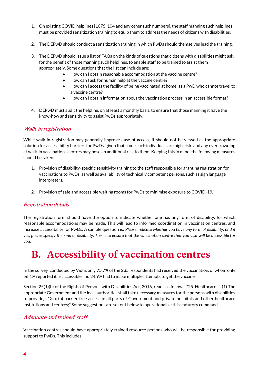- 1. On existing COVID helplines [1075, 104 and any other such numbers], the staff manning such helplines must be provided sensitization training to equip them to address the needs of citizens with disabilities.
- 2. The DEPwD should conduct a sensitization training in which PwDs should themselves lead the training.
- 3. The DEPwD should issue a list of FAQs on the kinds of questions that citizens with disabilities might ask, for the benefit of those manning such helplines, to enable staff to be trained to assist them appropriately. Some questions that the list can include are:
	- How can I obtain reasonable accommodation at the vaccine centre?
	- How can I ask for human help at the vaccine centre?
	- How can I access the facility of being vaccinated at home, as a PwD who cannot travel to a vaccine centre?
	- How can I obtain information about the vaccination process in an accessible format?
- 4. DEPwD must audit the helpline, on at least a monthly basis, to ensure that those manning it have the know-how and sensitivity to assist PwDs appropriately.

#### **Walk-in registration**

While walk-in registration may generally improve ease of access, it should not be viewed as the appropriate solution for accessibility barriers for PwDs, given that some such individuals are high-risk, and any overcrowding at walk-in vaccinations centres may pose an additional risk to them. Keeping this in mind, the following measures should be taken:

- 1. Provision of disability-specific sensitivity training to the staff responsible for granting registration for vaccinations to PwDs, as well as availability of technically competent persons, such as sign language interpreters.
- 2. Provision of safe and accessible waiting rooms for PwDs to minimise exposure to COVID-19.

#### **Registration details**

The registration form should have the option to indicate whether one has any form of disability, for which reasonable accommodations may be made. This will lead to informed coordination in vaccination centres, and increase accessibility for PwDs. A sample question is: *Please indicate whether you have any form of disability, and if yes, please specify the kind of disability. This is to ensure that the vaccination centre that you visit will be accessible for you.* 

### **B. Accessibility of vaccination centres**

In the survey conducted by Vidhi, only 75.7% of the 235 respondents had received the vaccination, of whom only 56.1% reported it as accessible and 24.9% had to make multiple attempts to get the vaccine.

Section 25(1)(b) of the Rights of Persons with Disabilities Act, 2016, reads as follows: "25. Healthcare. – (1) The appropriate Government and the local authorities shall take necessary measures for the persons with disabilities to provide, - "Xxx (b) barrier-free access in all parts of Government and private hospitals and other healthcare institutions and centres;" Some suggestions are set out below to operationalize this statutory command.

#### **Adequate and trained staff**

Vaccination centres should have appropriately trained resource persons who will be responsible for providing support to PwDs. This includes: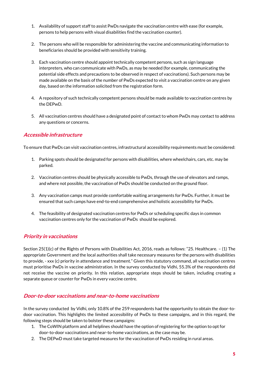- 1. Availability of support staff to assist PwDs navigate the vaccination centre with ease (for example, persons to help persons with visual disabilities find the vaccination counter).
- 2. The persons who will be responsible for administering the vaccine and communicating information to beneficiaries should be provided with sensitivity training.
- 3. Each vaccination centre should appoint technically competent persons, such as sign language interpreters, who can communicate with PwDs, as may be needed (for example, communicating the potential side effects and precautions to be observed in respect of vaccinations). Such persons may be made available on the basis of the number of PwDs expected to visit a vaccination centre on any given day, based on the information solicited from the registration form.
- 4. A repository of such technically competent persons should be made available to vaccination centres by the DEPwD.
- 5. All vaccination centres should have a designated point of contact to whom PwDs may contact to address any questions or concerns.

#### **Accessible infrastructure**

To ensure that PwDs can visit vaccination centres, infrastructural accessibility requirements must be considered:

- 1. Parking spots should be designated for persons with disabilities, where wheelchairs, cars, etc. may be parked.
- 2. Vaccination centres should be physically accessible to PwDs, through the use of elevators and ramps, and where not possible, the vaccination of PwDs should be conducted on the ground floor.
- 3. Any vaccination camps must provide comfortable waiting arrangements for PwDs. Further, it must be ensured that such camps have end-to-end comprehensive and holistic accessibility for PwDs.
- 4. The feasibility of designated vaccination centres for PwDs or scheduling specific days in common vaccination centres only for the vaccination of PwDs should be explored.

#### **Priority in vaccinations**

Section 25(1)(c) of the Rights of Persons with Disabilities Act, 2016, reads as follows: "25. Healthcare. – (1) The appropriate Government and the local authorities shall take necessary measures for the persons with disabilities to provide, - xxx (c) priority in attendance and treatment." Given this statutory command, all vaccination centres must prioritise PwDs in vaccine administration. In the survey conducted by Vidhi, 55.3% of the respondents did not receive the vaccine on priority. In this relation, appropriate steps should be taken, including creating a separate queue or counter for PwDs in every vaccine centre.

#### **Door-to-door vaccinations and near-to-home vaccinations**

In the survey conducted by Vidhi, only 10.8% of the 259 respondents had the opportunity to obtain the door-todoor vaccination. This highlights the limited accessibility of PwDs to these campaigns, and in this regard, the following steps should be taken to bolster these campaigns:

- 1. The CoWIN platform and all helplines should have the option of registering for the option to opt for door-to-door vaccinations and near-to-home vaccinations, as the case may be.
- 2. The DEPwD must take targeted measures for the vaccination of PwDs residing in rural areas.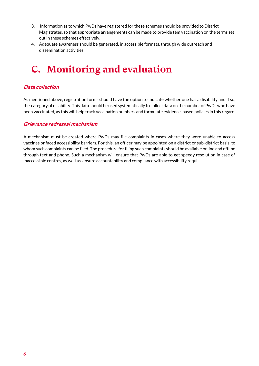- 3. Information as to which PwDs have registered for these schemes should be provided to District Magistrates, so that appropriate arrangements can be made to provide tem vaccination on the terms set out in these schemes effectively.
- 4. Adequate awareness should be generated, in accessible formats, through wide outreach and dissemination activities.

### **C. Monitoring and evaluation**

#### **Data collection**

As mentioned above, registration forms should have the option to indicate whether one has a disability and if so, the category of disability. This data should be used systematically to collect data on the number of PwDs who have been vaccinated, as this will help track vaccination numbers and formulate evidence-based policies in this regard.

#### **Grievance redressal mechanism**

A mechanism must be created where PwDs may file complaints in cases where they were unable to access vaccines or faced accessibility barriers. For this, an officer may be appointed on a district or sub-district basis, to whom such complaints can be filed. The procedure for filing such complaints should be available online and offline through text and phone. Such a mechanism will ensure that PwDs are able to get speedy resolution in case of inaccessible centres, as well as ensure accountability and compliance with accessibility requi